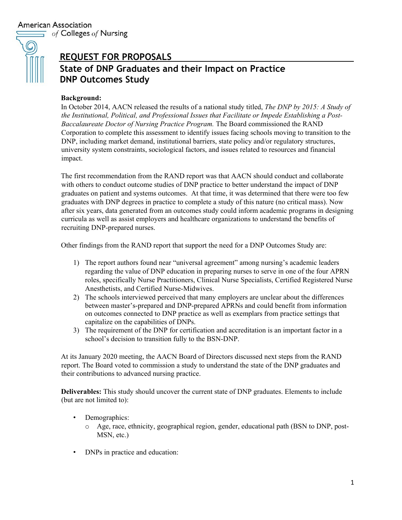**American Association**  $\equiv$  of Colleges of Nursing

# $\mathcal{C}$

# **REQUEST FOR PROPOSALS**

# **State of DNP Graduates and their Impact on Practice DNP Outcomes Study**

### **Background:**

In October 2014, AACN released the results of a national study titled, *The DNP by 2015: A Study of the Institutional, Political, and Professional Issues that Facilitate or Impede Establishing a Post-Baccalaureate Doctor of Nursing Practice Program.* The Board commissioned the RAND Corporation to complete this assessment to identify issues facing schools moving to transition to the DNP, including market demand, institutional barriers, state policy and/or regulatory structures, university system constraints, sociological factors, and issues related to resources and financial impact.

The first recommendation from the RAND report was that AACN should conduct and collaborate with others to conduct outcome studies of DNP practice to better understand the impact of DNP graduates on patient and systems outcomes. At that time, it was determined that there were too few graduates with DNP degrees in practice to complete a study of this nature (no critical mass). Now after six years, data generated from an outcomes study could inform academic programs in designing curricula as well as assist employers and healthcare organizations to understand the benefits of recruiting DNP-prepared nurses.

Other findings from the RAND report that support the need for a DNP Outcomes Study are:

- 1) The report authors found near "universal agreement" among nursing's academic leaders regarding the value of DNP education in preparing nurses to serve in one of the four APRN roles, specifically Nurse Practitioners, Clinical Nurse Specialists, Certified Registered Nurse Anesthetists, and Certified Nurse-Midwives.
- 2) The schools interviewed perceived that many employers are unclear about the differences between master's-prepared and DNP-prepared APRNs and could benefit from information on outcomes connected to DNP practice as well as exemplars from practice settings that capitalize on the capabilities of DNPs.
- 3) The requirement of the DNP for certification and accreditation is an important factor in a school's decision to transition fully to the BSN-DNP.

At its January 2020 meeting, the AACN Board of Directors discussed next steps from the RAND report. The Board voted to commission a study to understand the state of the DNP graduates and their contributions to advanced nursing practice.

**Deliverables:** This study should uncover the current state of DNP graduates. Elements to include (but are not limited to):

- Demographics:
	- o Age, race, ethnicity, geographical region, gender, educational path (BSN to DNP, post-MSN, etc.)
- DNPs in practice and education: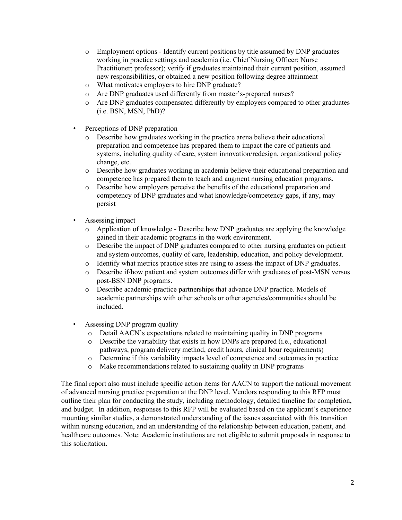- o Employment options Identify current positions by title assumed by DNP graduates working in practice settings and academia (i.e. Chief Nursing Officer; Nurse Practitioner; professor); verify if graduates maintained their current position, assumed new responsibilities, or obtained a new position following degree attainment
- o What motivates employers to hire DNP graduate?
- o Are DNP graduates used differently from master's-prepared nurses?
- o Are DNP graduates compensated differently by employers compared to other graduates (i.e. BSN, MSN, PhD)?
- Perceptions of DNP preparation
	- o Describe how graduates working in the practice arena believe their educational preparation and competence has prepared them to impact the care of patients and systems, including quality of care, system innovation/redesign, organizational policy change, etc.
	- o Describe how graduates working in academia believe their educational preparation and competence has prepared them to teach and augment nursing education programs.
	- o Describe how employers perceive the benefits of the educational preparation and competency of DNP graduates and what knowledge/competency gaps, if any, may persist
- Assessing impact
	- o Application of knowledge Describe how DNP graduates are applying the knowledge gained in their academic programs in the work environment.
	- o Describe the impact of DNP graduates compared to other nursing graduates on patient and system outcomes, quality of care, leadership, education, and policy development.
	- o Identify what metrics practice sites are using to assess the impact of DNP graduates.<br>  $\circ$  Describe if/how patient and system outcomes differ with graduates of post-MSN vers
	- Describe if/how patient and system outcomes differ with graduates of post-MSN versus post-BSN DNP programs.
	- o Describe academic-practice partnerships that advance DNP practice. Models of academic partnerships with other schools or other agencies/communities should be included.
- Assessing DNP program quality
	- o Detail AACN's expectations related to maintaining quality in DNP programs
	- o Describe the variability that exists in how DNPs are prepared (i.e., educational pathways, program delivery method, credit hours, clinical hour requirements)
	- o Determine if this variability impacts level of competence and outcomes in practice
	- o Make recommendations related to sustaining quality in DNP programs

The final report also must include specific action items for AACN to support the national movement of advanced nursing practice preparation at the DNP level. Vendors responding to this RFP must outline their plan for conducting the study, including methodology, detailed timeline for completion, and budget. In addition, responses to this RFP will be evaluated based on the applicant's experience mounting similar studies, a demonstrated understanding of the issues associated with this transition within nursing education, and an understanding of the relationship between education, patient, and healthcare outcomes. Note: Academic institutions are not eligible to submit proposals in response to this solicitation.